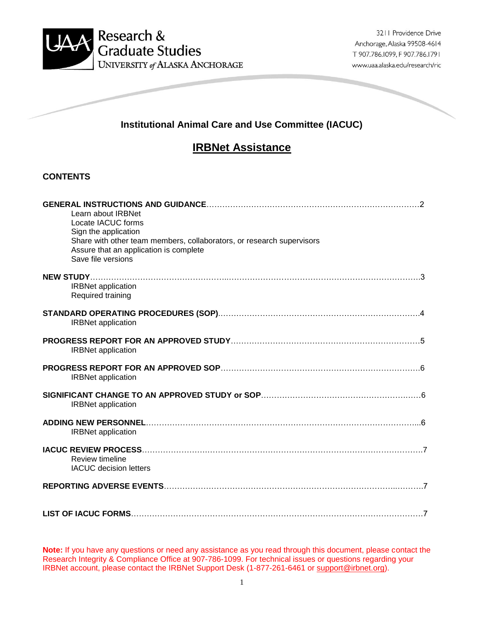

# **Institutional Animal Care and Use Committee (IACUC)**

# **IRBNet Assistance**

# **CONTENTS**

| Learn about IRBNet<br>Locate IACUC forms<br>Sign the application<br>Share with other team members, collaborators, or research supervisors<br>Assure that an application is complete<br>Save file versions |
|-----------------------------------------------------------------------------------------------------------------------------------------------------------------------------------------------------------|
| <b>IRBNet application</b><br>Required training                                                                                                                                                            |
| <b>IRBNet application</b>                                                                                                                                                                                 |
| <b>IRBNet application</b>                                                                                                                                                                                 |
| <b>IRBNet application</b>                                                                                                                                                                                 |
| <b>IRBNet application</b>                                                                                                                                                                                 |
| <b>IRBNet application</b>                                                                                                                                                                                 |
| Review timeline<br><b>IACUC</b> decision letters                                                                                                                                                          |
|                                                                                                                                                                                                           |
|                                                                                                                                                                                                           |

**Note:** If you have any questions or need any assistance as you read through this document, please contact the Research Integrity & Compliance Office at 907-786-1099. For technical issues or questions regarding your IRBNet account, please contact the IRBNet Support Desk (1-877-261-6461 or [support@irbnet.org\)](mailto:support@irbnet.org).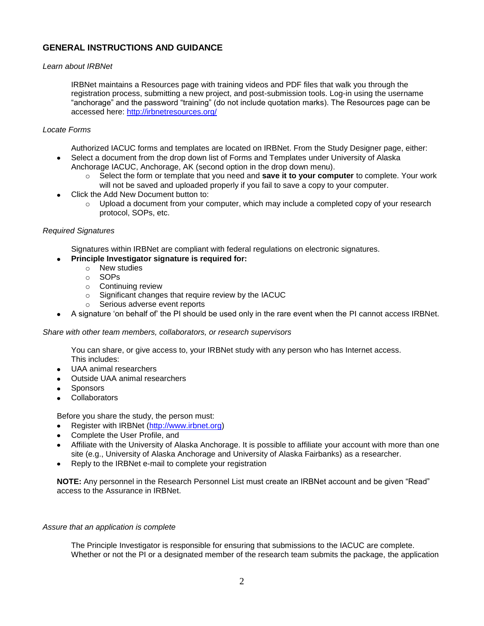# **GENERAL INSTRUCTIONS AND GUIDANCE**

#### *Learn about IRBNet*

IRBNet maintains a Resources page with training videos and PDF files that walk you through the registration process, submitting a new project, and post-submission tools. Log-in using the username "anchorage" and the password "training" (do not include quotation marks). The Resources page can be accessed here:<http://irbnetresources.org/>

#### *Locate Forms*

Authorized IACUC forms and templates are located on IRBNet. From the Study Designer page, either: Select a document from the drop down list of Forms and Templates under University of Alaska

- Anchorage IACUC, Anchorage, AK (second option in the drop down menu).
	- o Select the form or template that you need and **save it to your computer** to complete. Your work will not be saved and uploaded properly if you fail to save a copy to your computer.
- Click the Add New Document button to:
	- $\circ$  Upload a document from your computer, which may include a completed copy of your research protocol, SOPs, etc.

#### *Required Signatures*

Signatures within IRBNet are compliant with federal regulations on electronic signatures.

### **Principle Investigator signature is required for:**

- o New studies
- o SOPs
- o Continuing review
- o Significant changes that require review by the IACUC
- o Serious adverse event reports
- A signature 'on behalf of' the PI should be used only in the rare event when the PI cannot access IRBNet.

#### *Share with other team members, collaborators, or research supervisors*

You can share, or give access to, your IRBNet study with any person who has Internet access. This includes:

- UAA animal researchers
- Outside UAA animal researchers
- Sponsors
- Collaborators

Before you share the study, the person must:

- Register with IRBNet [\(http://www.irbnet.org\)](http://www.irbnet.org/)
- Complete the User Profile, and
- Affiliate with the University of Alaska Anchorage. It is possible to affiliate your account with more than one site (e.g., University of Alaska Anchorage and University of Alaska Fairbanks) as a researcher.
- Reply to the IRBNet e-mail to complete your registration

**NOTE:** Any personnel in the Research Personnel List must create an IRBNet account and be given "Read" access to the Assurance in IRBNet.

#### *Assure that an application is complete*

The Principle Investigator is responsible for ensuring that submissions to the IACUC are complete. Whether or not the PI or a designated member of the research team submits the package, the application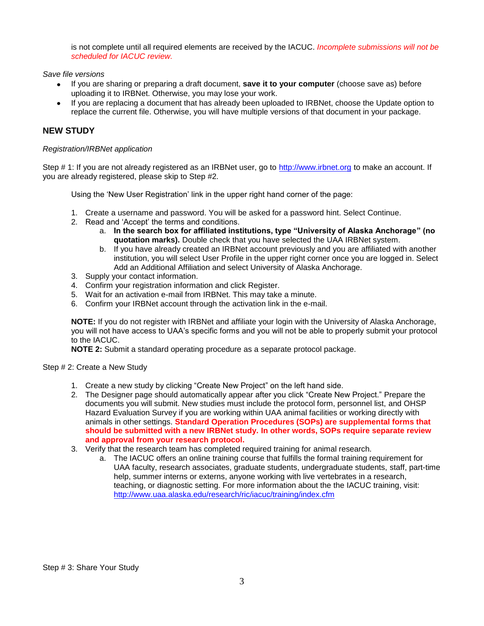is not complete until all required elements are received by the IACUC. *Incomplete submissions will not be scheduled for IACUC review.*

*Save file versions*

- If you are sharing or preparing a draft document, **save it to your computer** (choose save as) before uploading it to IRBNet. Otherwise, you may lose your work.
- If you are replacing a document that has already been uploaded to IRBNet, choose the Update option to replace the current file. Otherwise, you will have multiple versions of that document in your package.

# **NEW STUDY**

#### *Registration/IRBNet application*

Step # 1: If you are not already registered as an IRBNet user, go to [http://www.irbnet.org](http://www.irbnet.org/) to make an account. If you are already registered, please skip to Step #2.

Using the 'New User Registration' link in the upper right hand corner of the page:

- 1. Create a username and password. You will be asked for a password hint. Select Continue.
- 2. Read and 'Accept' the terms and conditions.
	- a. **In the search box for affiliated institutions, type "University of Alaska Anchorage" (no quotation marks).** Double check that you have selected the UAA IRBNet system.
	- b. If you have already created an IRBNet account previously and you are affiliated with another institution, you will select User Profile in the upper right corner once you are logged in. Select Add an Additional Affiliation and select University of Alaska Anchorage.
- 3. Supply your contact information.
- 4. Confirm your registration information and click Register.
- 5. Wait for an activation e-mail from IRBNet. This may take a minute.
- 6. Confirm your IRBNet account through the activation link in the e-mail.

**NOTE:** If you do not register with IRBNet and affiliate your login with the University of Alaska Anchorage, you will not have access to UAA's specific forms and you will not be able to properly submit your protocol to the IACUC.

**NOTE 2:** Submit a standard operating procedure as a separate protocol package.

Step # 2: Create a New Study

- 1. Create a new study by clicking "Create New Project" on the left hand side.
- 2. The Designer page should automatically appear after you click "Create New Project." Prepare the documents you will submit. New studies must include the protocol form, personnel list, and OHSP Hazard Evaluation Survey if you are working within UAA animal facilities or working directly with animals in other settings. **Standard Operation Procedures (SOPs) are supplemental forms that should be submitted with a new IRBNet study. In other words, SOPs require separate review and approval from your research protocol.**
- 3. Verify that the research team has completed required training for animal research.
	- a. The IACUC offers an online training course that fulfills the formal training requirement for UAA faculty, research associates, graduate students, undergraduate students, staff, part-time help, summer interns or externs, anyone working with live vertebrates in a research, teaching, or diagnostic setting. For more information about the the IACUC training, visit: <http://www.uaa.alaska.edu/research/ric/iacuc/training/index.cfm>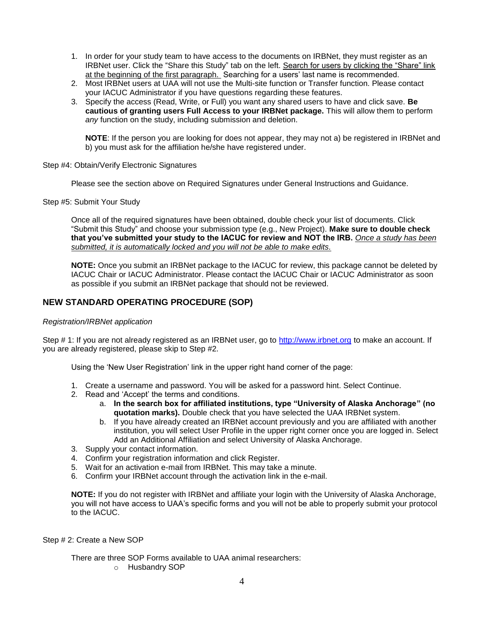- 1. In order for your study team to have access to the documents on IRBNet, they must register as an IRBNet user. Click the "Share this Study" tab on the left. Search for users by clicking the "Share" link at the beginning of the first paragraph. Searching for a users' last name is recommended.
- 2. Most IRBNet users at UAA will not use the Multi-site function or Transfer function. Please contact your IACUC Administrator if you have questions regarding these features.
- 3. Specify the access (Read, Write, or Full) you want any shared users to have and click save. **Be cautious of granting users Full Access to your IRBNet package.** This will allow them to perform *any* function on the study, including submission and deletion.

**NOTE**: If the person you are looking for does not appear, they may not a) be registered in IRBNet and b) you must ask for the affiliation he/she have registered under.

Step #4: Obtain/Verify Electronic Signatures

Please see the section above on Required Signatures under General Instructions and Guidance.

Step #5: Submit Your Study

Once all of the required signatures have been obtained, double check your list of documents. Click "Submit this Study" and choose your submission type (e.g., New Project). **Make sure to double check that you've submitted your study to the IACUC for review and NOT the IRB.** *Once a study has been submitted, it is automatically locked and you will not be able to make edits.*

**NOTE:** Once you submit an IRBNet package to the IACUC for review, this package cannot be deleted by IACUC Chair or IACUC Administrator. Please contact the IACUC Chair or IACUC Administrator as soon as possible if you submit an IRBNet package that should not be reviewed.

### **NEW STANDARD OPERATING PROCEDURE (SOP)**

#### *Registration/IRBNet application*

Step # 1: If you are not already registered as an IRBNet user, go to [http://www.irbnet.org](http://www.irbnet.org/) to make an account. If you are already registered, please skip to Step #2.

Using the 'New User Registration' link in the upper right hand corner of the page:

- 1. Create a username and password. You will be asked for a password hint. Select Continue.
- 2. Read and 'Accept' the terms and conditions.
	- a. **In the search box for affiliated institutions, type "University of Alaska Anchorage" (no quotation marks).** Double check that you have selected the UAA IRBNet system.
	- b. If you have already created an IRBNet account previously and you are affiliated with another institution, you will select User Profile in the upper right corner once you are logged in. Select Add an Additional Affiliation and select University of Alaska Anchorage.
- 3. Supply your contact information.
- 4. Confirm your registration information and click Register.
- 5. Wait for an activation e-mail from IRBNet. This may take a minute.
- 6. Confirm your IRBNet account through the activation link in the e-mail.

**NOTE:** If you do not register with IRBNet and affiliate your login with the University of Alaska Anchorage, you will not have access to UAA's specific forms and you will not be able to properly submit your protocol to the IACUC.

Step # 2: Create a New SOP

There are three SOP Forms available to UAA animal researchers:

o Husbandry SOP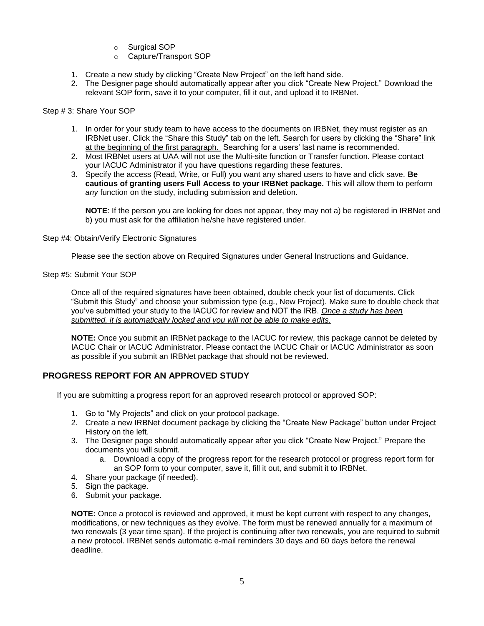- o Surgical SOP
- o Capture/Transport SOP
- 1. Create a new study by clicking "Create New Project" on the left hand side.
- 2. The Designer page should automatically appear after you click "Create New Project." Download the relevant SOP form, save it to your computer, fill it out, and upload it to IRBNet.

Step # 3: Share Your SOP

- 1. In order for your study team to have access to the documents on IRBNet, they must register as an IRBNet user. Click the "Share this Study" tab on the left. Search for users by clicking the "Share" link at the beginning of the first paragraph. Searching for a users' last name is recommended.
- 2. Most IRBNet users at UAA will not use the Multi-site function or Transfer function. Please contact your IACUC Administrator if you have questions regarding these features.
- 3. Specify the access (Read, Write, or Full) you want any shared users to have and click save. **Be cautious of granting users Full Access to your IRBNet package.** This will allow them to perform *any* function on the study, including submission and deletion.

**NOTE**: If the person you are looking for does not appear, they may not a) be registered in IRBNet and b) you must ask for the affiliation he/she have registered under.

Step #4: Obtain/Verify Electronic Signatures

Please see the section above on Required Signatures under General Instructions and Guidance.

Step #5: Submit Your SOP

Once all of the required signatures have been obtained, double check your list of documents. Click "Submit this Study" and choose your submission type (e.g., New Project). Make sure to double check that you've submitted your study to the IACUC for review and NOT the IRB. *Once a study has been submitted, it is automatically locked and you will not be able to make edits.*

**NOTE:** Once you submit an IRBNet package to the IACUC for review, this package cannot be deleted by IACUC Chair or IACUC Administrator. Please contact the IACUC Chair or IACUC Administrator as soon as possible if you submit an IRBNet package that should not be reviewed.

# **PROGRESS REPORT FOR AN APPROVED STUDY**

If you are submitting a progress report for an approved research protocol or approved SOP:

- 1. Go to "My Projects" and click on your protocol package.
- 2. Create a new IRBNet document package by clicking the "Create New Package" button under Project History on the left.
- 3. The Designer page should automatically appear after you click "Create New Project." Prepare the documents you will submit.
	- a. Download a copy of the progress report for the research protocol or progress report form for an SOP form to your computer, save it, fill it out, and submit it to IRBNet.
- 4. Share your package (if needed).
- 5. Sign the package.
- 6. Submit your package.

**NOTE:** Once a protocol is reviewed and approved, it must be kept current with respect to any changes, modifications, or new techniques as they evolve. The form must be renewed annually for a maximum of two renewals (3 year time span). If the project is continuing after two renewals, you are required to submit a new protocol. IRBNet sends automatic e-mail reminders 30 days and 60 days before the renewal deadline.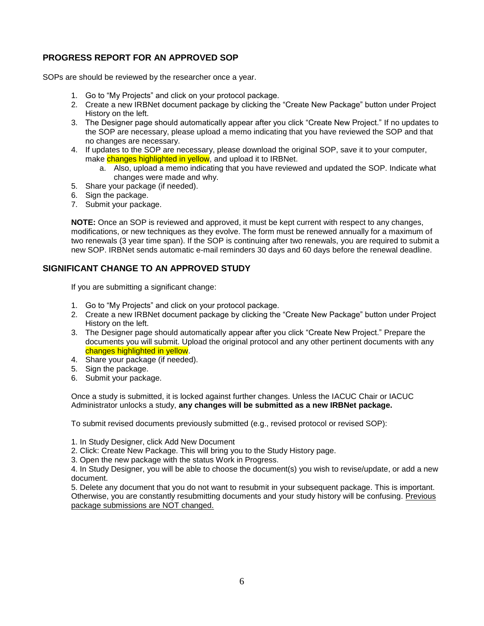# **PROGRESS REPORT FOR AN APPROVED SOP**

SOPs are should be reviewed by the researcher once a year.

- 1. Go to "My Projects" and click on your protocol package.
- 2. Create a new IRBNet document package by clicking the "Create New Package" button under Project History on the left.
- 3. The Designer page should automatically appear after you click "Create New Project." If no updates to the SOP are necessary, please upload a memo indicating that you have reviewed the SOP and that no changes are necessary.
- 4. If updates to the SOP are necessary, please download the original SOP, save it to your computer, make changes highlighted in yellow, and upload it to IRBNet.
	- a. Also, upload a memo indicating that you have reviewed and updated the SOP. Indicate what changes were made and why.
- 5. Share your package (if needed).
- 6. Sign the package.
- 7. Submit your package.

**NOTE:** Once an SOP is reviewed and approved, it must be kept current with respect to any changes, modifications, or new techniques as they evolve. The form must be renewed annually for a maximum of two renewals (3 year time span). If the SOP is continuing after two renewals, you are required to submit a new SOP. IRBNet sends automatic e-mail reminders 30 days and 60 days before the renewal deadline.

### **SIGNIFICANT CHANGE TO AN APPROVED STUDY**

If you are submitting a significant change:

- 1. Go to "My Projects" and click on your protocol package.
- 2. Create a new IRBNet document package by clicking the "Create New Package" button under Project History on the left.
- 3. The Designer page should automatically appear after you click "Create New Project." Prepare the documents you will submit. Upload the original protocol and any other pertinent documents with any changes highlighted in yellow.
- 4. Share your package (if needed).
- 5. Sign the package.
- 6. Submit your package.

Once a study is submitted, it is locked against further changes. Unless the IACUC Chair or IACUC Administrator unlocks a study, **any changes will be submitted as a new IRBNet package.**

To submit revised documents previously submitted (e.g., revised protocol or revised SOP):

1. In Study Designer, click Add New Document

- 2. Click: Create New Package. This will bring you to the Study History page.
- 3. Open the new package with the status Work in Progress.

4. In Study Designer, you will be able to choose the document(s) you wish to revise/update, or add a new document.

5. Delete any document that you do not want to resubmit in your subsequent package. This is important. Otherwise, you are constantly resubmitting documents and your study history will be confusing. Previous package submissions are NOT changed.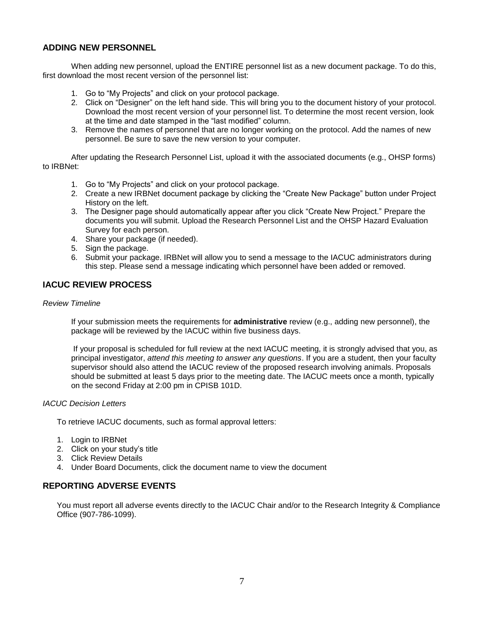### **ADDING NEW PERSONNEL**

When adding new personnel, upload the ENTIRE personnel list as a new document package. To do this, first download the most recent version of the personnel list:

- 1. Go to "My Projects" and click on your protocol package.
- 2. Click on "Designer" on the left hand side. This will bring you to the document history of your protocol. Download the most recent version of your personnel list. To determine the most recent version, look at the time and date stamped in the "last modified" column.
- 3. Remove the names of personnel that are no longer working on the protocol. Add the names of new personnel. Be sure to save the new version to your computer.

After updating the Research Personnel List, upload it with the associated documents (e.g., OHSP forms) to IRBNet:

- 1. Go to "My Projects" and click on your protocol package.
- 2. Create a new IRBNet document package by clicking the "Create New Package" button under Project History on the left.
- 3. The Designer page should automatically appear after you click "Create New Project." Prepare the documents you will submit. Upload the Research Personnel List and the OHSP Hazard Evaluation Survey for each person.
- 4. Share your package (if needed).
- 5. Sign the package.
- 6. Submit your package. IRBNet will allow you to send a message to the IACUC administrators during this step. Please send a message indicating which personnel have been added or removed.

### **IACUC REVIEW PROCESS**

#### *Review Timeline*

If your submission meets the requirements for **administrative** review (e.g., adding new personnel), the package will be reviewed by the IACUC within five business days.

If your proposal is scheduled for full review at the next IACUC meeting, it is strongly advised that you, as principal investigator, *attend this meeting to answer any questions*. If you are a student, then your faculty supervisor should also attend the IACUC review of the proposed research involving animals. Proposals should be submitted at least 5 days prior to the meeting date. The IACUC meets once a month, typically on the second Friday at 2:00 pm in CPISB 101D.

#### *IACUC Decision Letters*

To retrieve IACUC documents, such as formal approval letters:

- 1. Login to IRBNet
- 2. Click on your study's title
- 3. Click Review Details
- 4. Under Board Documents, click the document name to view the document

### **REPORTING ADVERSE EVENTS**

You must report all adverse events directly to the IACUC Chair and/or to the Research Integrity & Compliance Office (907-786-1099).